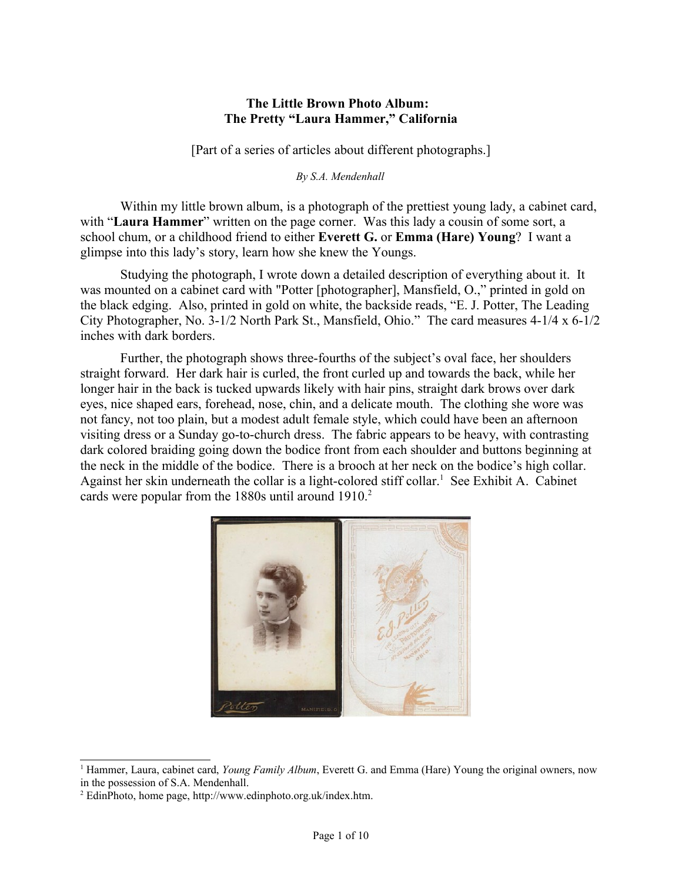# **The Little Brown Photo Album: The Pretty "Laura Hammer," California**

[Part of a series of articles about different photographs.]

*By S.A. Mendenhall*

Within my little brown album, is a photograph of the prettiest young lady, a cabinet card, with "**Laura Hammer**" written on the page corner. Was this lady a cousin of some sort, a school chum, or a childhood friend to either **Everett G.** or **Emma (Hare) Young**? I want a glimpse into this lady's story, learn how she knew the Youngs.

Studying the photograph, I wrote down a detailed description of everything about it. It was mounted on a cabinet card with "Potter [photographer], Mansfield, O.," printed in gold on the black edging. Also, printed in gold on white, the backside reads, "E. J. Potter, The Leading City Photographer, No. 3-1/2 North Park St., Mansfield, Ohio." The card measures 4-1/4 x 6-1/2 inches with dark borders.

Further, the photograph shows three-fourths of the subject's oval face, her shoulders straight forward. Her dark hair is curled, the front curled up and towards the back, while her longer hair in the back is tucked upwards likely with hair pins, straight dark brows over dark eyes, nice shaped ears, forehead, nose, chin, and a delicate mouth. The clothing she wore was not fancy, not too plain, but a modest adult female style, which could have been an afternoon visiting dress or a Sunday go-to-church dress. The fabric appears to be heavy, with contrasting dark colored braiding going down the bodice front from each shoulder and buttons beginning at the neck in the middle of the bodice. There is a brooch at her neck on the bodice's high collar. Against her skin underneath the collar is a light-colored stiff collar.<sup>[1](#page-0-0)</sup> See Exhibit A. Cabinet cards were popular from the  $1880s$  until around  $1910.<sup>2</sup>$  $1910.<sup>2</sup>$  $1910.<sup>2</sup>$ 



<sup>&</sup>lt;sup>1</sup> Hammer, Laura, cabinet card, *Young Family Album*, Everett G. and Emma (Hare) Young the original owners, now in the possession of S.A. Mendenhall.

<span id="page-0-1"></span><span id="page-0-0"></span><sup>2</sup> EdinPhoto, home page, http://www.edinphoto.org.uk/index.htm.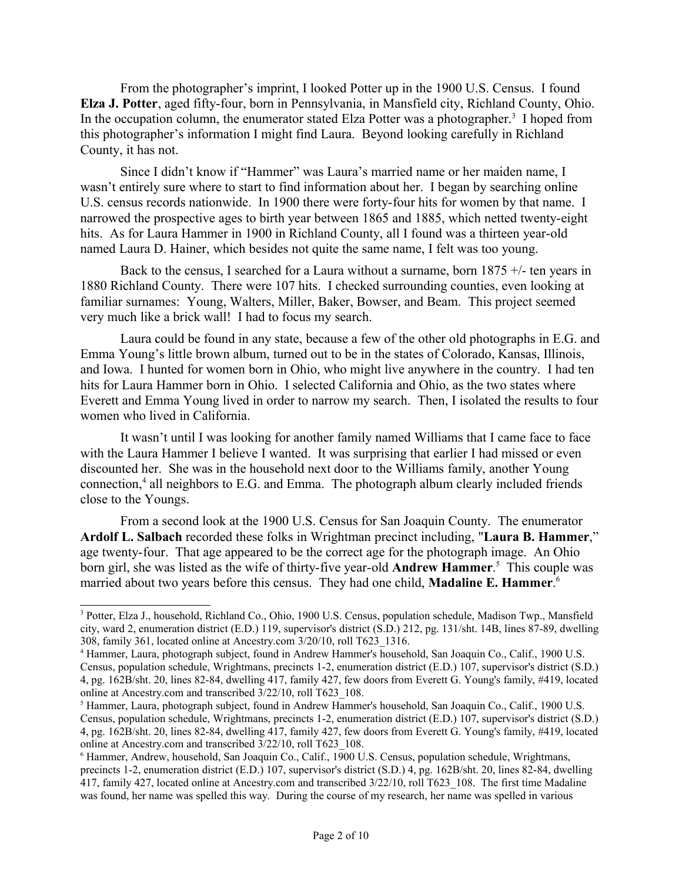From the photographer's imprint, I looked Potter up in the 1900 U.S. Census. I found **Elza J. Potter**, aged fifty-four, born in Pennsylvania, in Mansfield city, Richland County, Ohio. In the occupation column, the enumerator stated Elza Potter was a photographer.<sup>[3](#page-1-0)</sup> I hoped from this photographer's information I might find Laura. Beyond looking carefully in Richland County, it has not.

Since I didn't know if "Hammer" was Laura's married name or her maiden name, I wasn't entirely sure where to start to find information about her. I began by searching online U.S. census records nationwide. In 1900 there were forty-four hits for women by that name. I narrowed the prospective ages to birth year between 1865 and 1885, which netted twenty-eight hits. As for Laura Hammer in 1900 in Richland County, all I found was a thirteen year-old named Laura D. Hainer, which besides not quite the same name, I felt was too young.

Back to the census, I searched for a Laura without a surname, born 1875 +/- ten years in 1880 Richland County. There were 107 hits. I checked surrounding counties, even looking at familiar surnames: Young, Walters, Miller, Baker, Bowser, and Beam. This project seemed very much like a brick wall! I had to focus my search.

Laura could be found in any state, because a few of the other old photographs in E.G. and Emma Young's little brown album, turned out to be in the states of Colorado, Kansas, Illinois, and Iowa. I hunted for women born in Ohio, who might live anywhere in the country. I had ten hits for Laura Hammer born in Ohio. I selected California and Ohio, as the two states where Everett and Emma Young lived in order to narrow my search. Then, I isolated the results to four women who lived in California.

It wasn't until I was looking for another family named Williams that I came face to face with the Laura Hammer I believe I wanted. It was surprising that earlier I had missed or even discounted her. She was in the household next door to the Williams family, another Young connection,<sup>[4](#page-1-1)</sup> all neighbors to E.G. and Emma. The photograph album clearly included friends close to the Youngs.

From a second look at the 1900 U.S. Census for San Joaquin County. The enumerator **Ardolf L. Salbach** recorded these folks in Wrightman precinct including, "**Laura B. Hammer**," age twenty-four. That age appeared to be the correct age for the photograph image. An Ohio born girl, she was listed as the wife of thirty-five year-old **Andrew Hammer**. [5](#page-1-2) This couple was married about two years before this census. They had one child, **Madaline E. Hammer**. [6](#page-1-3)

<span id="page-1-0"></span><sup>&</sup>lt;sup>3</sup> Potter, Elza J., household, Richland Co., Ohio, 1900 U.S. Census, population schedule, Madison Twp., Mansfield city, ward 2, enumeration district (E.D.) 119, supervisor's district (S.D.) 212, pg. 131/sht. 14B, lines 87-89, dwelling 308, family 361, located online at Ancestry.com 3/20/10, roll T623\_1316.

<span id="page-1-1"></span><sup>4</sup> Hammer, Laura, photograph subject, found in Andrew Hammer's household, San Joaquin Co., Calif., 1900 U.S. Census, population schedule, Wrightmans, precincts 1-2, enumeration district (E.D.) 107, supervisor's district (S.D.) 4, pg. 162B/sht. 20, lines 82-84, dwelling 417, family 427, few doors from Everett G. Young's family, #419, located online at Ancestry.com and transcribed 3/22/10, roll T623\_108.

<span id="page-1-2"></span><sup>&</sup>lt;sup>5</sup> Hammer, Laura, photograph subject, found in Andrew Hammer's household, San Joaquin Co., Calif., 1900 U.S. Census, population schedule, Wrightmans, precincts 1-2, enumeration district (E.D.) 107, supervisor's district (S.D.) 4, pg. 162B/sht. 20, lines 82-84, dwelling 417, family 427, few doors from Everett G. Young's family, #419, located online at Ancestry.com and transcribed 3/22/10, roll T623\_108.

<span id="page-1-3"></span><sup>6</sup> Hammer, Andrew, household, San Joaquin Co., Calif., 1900 U.S. Census, population schedule, Wrightmans, precincts 1-2, enumeration district (E.D.) 107, supervisor's district (S.D.) 4, pg. 162B/sht. 20, lines 82-84, dwelling 417, family 427, located online at Ancestry.com and transcribed 3/22/10, roll T623\_108. The first time Madaline was found, her name was spelled this way. During the course of my research, her name was spelled in various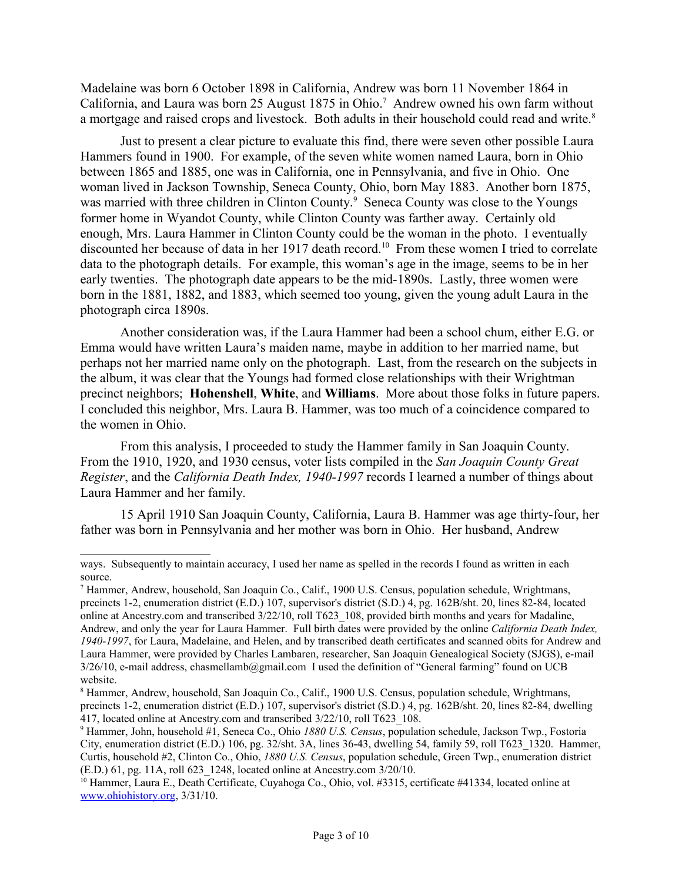Madelaine was born 6 October 1898 in California, Andrew was born 11 November 1864 in California, and Laura was born 25 August 18[7](#page-2-0)5 in Ohio.<sup>7</sup> Andrew owned his own farm without a mortgage and raised crops and livestock. Both adults in their household could read and write.<sup>[8](#page-2-1)</sup>

Just to present a clear picture to evaluate this find, there were seven other possible Laura Hammers found in 1900. For example, of the seven white women named Laura, born in Ohio between 1865 and 1885, one was in California, one in Pennsylvania, and five in Ohio. One woman lived in Jackson Township, Seneca County, Ohio, born May 1883. Another born 1875, was married with three children in Clinton County.<sup>[9](#page-2-2)</sup> Seneca County was close to the Youngs former home in Wyandot County, while Clinton County was farther away. Certainly old enough, Mrs. Laura Hammer in Clinton County could be the woman in the photo. I eventually discounted her because of data in her 1917 death record.<sup>[10](#page-2-3)</sup> From these women I tried to correlate data to the photograph details. For example, this woman's age in the image, seems to be in her early twenties. The photograph date appears to be the mid-1890s. Lastly, three women were born in the 1881, 1882, and 1883, which seemed too young, given the young adult Laura in the photograph circa 1890s.

Another consideration was, if the Laura Hammer had been a school chum, either E.G. or Emma would have written Laura's maiden name, maybe in addition to her married name, but perhaps not her married name only on the photograph. Last, from the research on the subjects in the album, it was clear that the Youngs had formed close relationships with their Wrightman precinct neighbors; **Hohenshell**, **White**, and **Williams**. More about those folks in future papers. I concluded this neighbor, Mrs. Laura B. Hammer, was too much of a coincidence compared to the women in Ohio.

From this analysis, I proceeded to study the Hammer family in San Joaquin County. From the 1910, 1920, and 1930 census, voter lists compiled in the *San Joaquin County Great Register*, and the *California Death Index, 1940-1997* records I learned a number of things about Laura Hammer and her family.

15 April 1910 San Joaquin County, California, Laura B. Hammer was age thirty-four, her father was born in Pennsylvania and her mother was born in Ohio. Her husband, Andrew

ways. Subsequently to maintain accuracy, I used her name as spelled in the records I found as written in each source.

<span id="page-2-0"></span><sup>7</sup> Hammer, Andrew, household, San Joaquin Co., Calif., 1900 U.S. Census, population schedule, Wrightmans, precincts 1-2, enumeration district (E.D.) 107, supervisor's district (S.D.) 4, pg. 162B/sht. 20, lines 82-84, located online at Ancestry.com and transcribed 3/22/10, roll T623\_108, provided birth months and years for Madaline, Andrew, and only the year for Laura Hammer. Full birth dates were provided by the online *California Death Index, 1940-1997*, for Laura, Madelaine, and Helen, and by transcribed death certificates and scanned obits for Andrew and Laura Hammer, were provided by Charles Lambaren, researcher, San Joaquin Genealogical Society (SJGS), e-mail 3/26/10, e-mail address, chasmellamb@gmail.com I used the definition of "General farming" found on UCB website.

<span id="page-2-1"></span><sup>&</sup>lt;sup>8</sup> Hammer, Andrew, household, San Joaquin Co., Calif., 1900 U.S. Census, population schedule, Wrightmans, precincts 1-2, enumeration district (E.D.) 107, supervisor's district (S.D.) 4, pg. 162B/sht. 20, lines 82-84, dwelling 417, located online at Ancestry.com and transcribed  $3/22/10$ , roll T623 108.

<span id="page-2-2"></span><sup>9</sup> Hammer, John, household #1, Seneca Co., Ohio *1880 U.S. Census*, population schedule, Jackson Twp., Fostoria City, enumeration district (E.D.) 106, pg. 32/sht. 3A, lines 36-43, dwelling 54, family 59, roll T623\_1320. Hammer, Curtis, household #2, Clinton Co., Ohio, *1880 U.S. Census*, population schedule, Green Twp., enumeration district (E.D.) 61, pg. 11A, roll 623\_1248, located online at Ancestry.com 3/20/10.

<span id="page-2-3"></span><sup>10</sup> Hammer, Laura E., Death Certificate, Cuyahoga Co., Ohio, vol. #3315, certificate #41334, located online at [www.ohiohistory.org,](http://www.ohiohistory.org/) 3/31/10.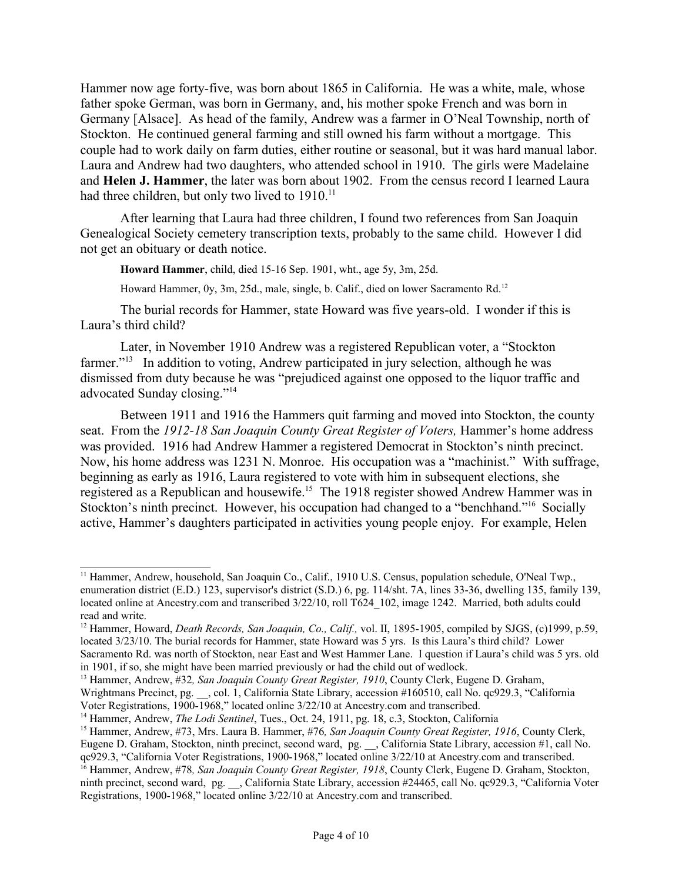Hammer now age forty-five, was born about 1865 in California. He was a white, male, whose father spoke German, was born in Germany, and, his mother spoke French and was born in Germany [Alsace]. As head of the family, Andrew was a farmer in O'Neal Township, north of Stockton. He continued general farming and still owned his farm without a mortgage. This couple had to work daily on farm duties, either routine or seasonal, but it was hard manual labor. Laura and Andrew had two daughters, who attended school in 1910. The girls were Madelaine and **Helen J. Hammer**, the later was born about 1902. From the census record I learned Laura had three children, but only two lived to 1910.<sup>[11](#page-3-0)</sup>

After learning that Laura had three children, I found two references from San Joaquin Genealogical Society cemetery transcription texts, probably to the same child. However I did not get an obituary or death notice.

**Howard Hammer**, child, died 15-16 Sep. 1901, wht., age 5y, 3m, 25d.

Howard Hammer, 0y, 3m, 25d., male, single, b. Calif., died on lower Sacramento Rd.<sup>[12](#page-3-1)</sup>

The burial records for Hammer, state Howard was five years-old. I wonder if this is Laura's third child?

Later, in November 1910 Andrew was a registered Republican voter, a "Stockton farmer."<sup>[13](#page-3-2)</sup> In addition to voting, Andrew participated in jury selection, although he was dismissed from duty because he was "prejudiced against one opposed to the liquor traffic and advocated Sunday closing."[14](#page-3-3)

Between 1911 and 1916 the Hammers quit farming and moved into Stockton, the county seat. From the 1912-18 San Joaquin County Great Register of Voters, Hammer's home address was provided. 1916 had Andrew Hammer a registered Democrat in Stockton's ninth precinct. Now, his home address was 1231 N. Monroe. His occupation was a "machinist." With suffrage, beginning as early as 1916, Laura registered to vote with him in subsequent elections, she registered as a Republican and housewife.[15](#page-3-4) The 1918 register showed Andrew Hammer was in Stockton's ninth precinct. However, his occupation had changed to a "benchhand."<sup>[16](#page-3-5)</sup> Socially active, Hammer's daughters participated in activities young people enjoy. For example, Helen

<span id="page-3-0"></span><sup>&</sup>lt;sup>11</sup> Hammer, Andrew, household, San Joaquin Co., Calif., 1910 U.S. Census, population schedule, O'Neal Twp., enumeration district (E.D.) 123, supervisor's district (S.D.) 6, pg. 114/sht. 7A, lines 33-36, dwelling 135, family 139, located online at Ancestry.com and transcribed  $3/22/10$ , roll T624 102, image 1242. Married, both adults could read and write.

<span id="page-3-1"></span><sup>12</sup> Hammer, Howard, *Death Records, San Joaquin, Co., Calif.,* vol. II, 1895-1905, compiled by SJGS, (c)1999, p.59, located 3/23/10. The burial records for Hammer, state Howard was 5 yrs. Is this Laura's third child? Lower Sacramento Rd. was north of Stockton, near East and West Hammer Lane. I question if Laura's child was 5 yrs. old in 1901, if so, she might have been married previously or had the child out of wedlock.

<span id="page-3-2"></span><sup>13</sup> Hammer, Andrew, #32*, San Joaquin County Great Register, 1910*, County Clerk, Eugene D. Graham, Wrightmans Precinct, pg. , col. 1, California State Library, accession #160510, call No. qc929.3, "California Voter Registrations, 1900-1968," located online 3/22/10 at Ancestry.com and transcribed.

<span id="page-3-3"></span><sup>14</sup> Hammer, Andrew, *The Lodi Sentinel*, Tues., Oct. 24, 1911, pg. 18, c.3, Stockton, California

<span id="page-3-4"></span><sup>15</sup> Hammer, Andrew, #73, Mrs. Laura B. Hammer, #76*, San Joaquin County Great Register, 1916*, County Clerk, Eugene D. Graham, Stockton, ninth precinct, second ward, pg. \_\_, California State Library, accession #1, call No. qc929.3, "California Voter Registrations, 1900-1968," located online 3/22/10 at Ancestry.com and transcribed.

<span id="page-3-5"></span><sup>16</sup> Hammer, Andrew, #78*, San Joaquin County Great Register, 1918*, County Clerk, Eugene D. Graham, Stockton, ninth precinct, second ward, pg. \_\_, California State Library, accession #24465, call No. qc929.3, "California Voter Registrations, 1900-1968," located online 3/22/10 at Ancestry.com and transcribed.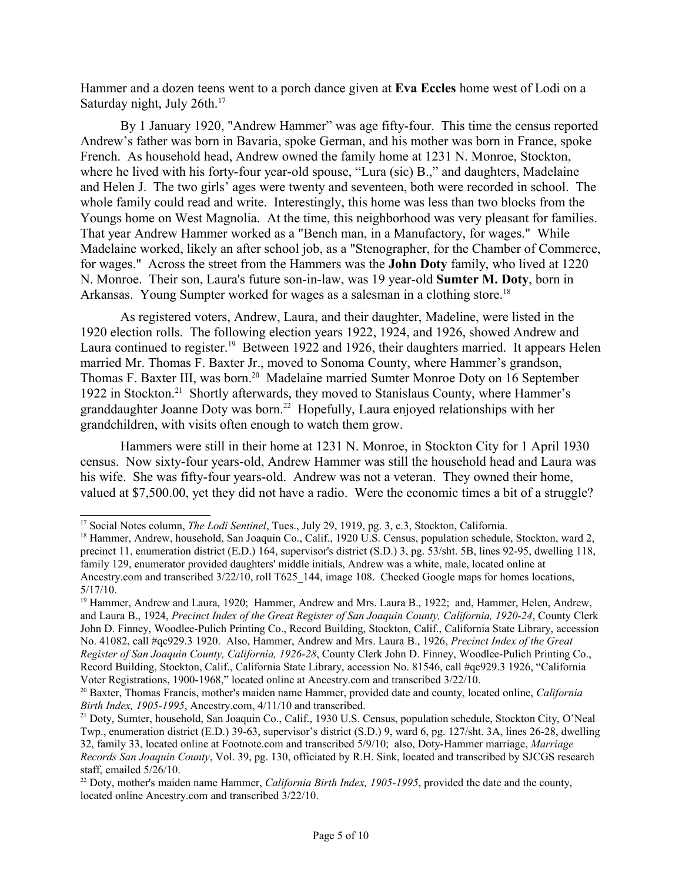Hammer and a dozen teens went to a porch dance given at **Eva Eccles** home west of Lodi on a Saturday night, July 26th.<sup>[17](#page-4-0)</sup>

By 1 January 1920, "Andrew Hammer" was age fifty-four. This time the census reported Andrew's father was born in Bavaria, spoke German, and his mother was born in France, spoke French. As household head, Andrew owned the family home at 1231 N. Monroe, Stockton, where he lived with his forty-four year-old spouse, "Lura (sic) B.," and daughters, Madelaine and Helen J. The two girls' ages were twenty and seventeen, both were recorded in school. The whole family could read and write. Interestingly, this home was less than two blocks from the Youngs home on West Magnolia. At the time, this neighborhood was very pleasant for families. That year Andrew Hammer worked as a "Bench man, in a Manufactory, for wages." While Madelaine worked, likely an after school job, as a "Stenographer, for the Chamber of Commerce, for wages." Across the street from the Hammers was the **John Doty** family, who lived at 1220 N. Monroe. Their son, Laura's future son-in-law, was 19 year-old **Sumter M. Doty**, born in Arkansas. Young Sumpter worked for wages as a salesman in a clothing store.<sup>[18](#page-4-1)</sup>

As registered voters, Andrew, Laura, and their daughter, Madeline, were listed in the 1920 election rolls. The following election years 1922, 1924, and 1926, showed Andrew and Laura continued to register.<sup>[19](#page-4-2)</sup> Between 1922 and 1926, their daughters married. It appears Helen married Mr. Thomas F. Baxter Jr., moved to Sonoma County, where Hammer's grandson, Thomas F. Baxter III, was born.<sup>[20](#page-4-3)</sup> Madelaine married Sumter Monroe Doty on 16 September 1922 in Stockton.[21](#page-4-4) Shortly afterwards, they moved to Stanislaus County, where Hammer's granddaughter Joanne Doty was born.<sup>[22](#page-4-5)</sup> Hopefully, Laura enjoyed relationships with her grandchildren, with visits often enough to watch them grow.

Hammers were still in their home at 1231 N. Monroe, in Stockton City for 1 April 1930 census. Now sixty-four years-old, Andrew Hammer was still the household head and Laura was his wife. She was fifty-four years-old. Andrew was not a veteran. They owned their home, valued at \$7,500.00, yet they did not have a radio. Were the economic times a bit of a struggle?

<span id="page-4-0"></span><sup>17</sup> Social Notes column, *The Lodi Sentinel*, Tues., July 29, 1919, pg. 3, c.3, Stockton, California.

<span id="page-4-1"></span><sup>&</sup>lt;sup>18</sup> Hammer, Andrew, household, San Joaquin Co., Calif., 1920 U.S. Census, population schedule, Stockton, ward 2, precinct 11, enumeration district (E.D.) 164, supervisor's district (S.D.) 3, pg. 53/sht. 5B, lines 92-95, dwelling 118, family 129, enumerator provided daughters' middle initials, Andrew was a white, male, located online at Ancestry.com and transcribed  $3/22/10$ , roll T625 144, image 108. Checked Google maps for homes locations, 5/17/10.

<span id="page-4-2"></span><sup>&</sup>lt;sup>19</sup> Hammer, Andrew and Laura, 1920; Hammer, Andrew and Mrs. Laura B., 1922; and, Hammer, Helen, Andrew, and Laura B., 1924, *Precinct Index of the Great Register of San Joaquin County, California, 1920-24*, County Clerk John D. Finney, Woodlee-Pulich Printing Co., Record Building, Stockton, Calif., California State Library, accession No. 41082, call #qc929.3 1920. Also, Hammer, Andrew and Mrs. Laura B., 1926, *Precinct Index of the Great Register of San Joaquin County, California, 1926-28*, County Clerk John D. Finney, Woodlee-Pulich Printing Co., Record Building, Stockton, Calif., California State Library, accession No. 81546, call #qc929.3 1926, "California Voter Registrations, 1900-1968," located online at Ancestry.com and transcribed 3/22/10.

<span id="page-4-3"></span><sup>20</sup> Baxter, Thomas Francis, mother's maiden name Hammer, provided date and county, located online, *California Birth Index, 1905-1995*, Ancestry.com, 4/11/10 and transcribed.

<span id="page-4-4"></span><sup>21</sup> Doty, Sumter, household, San Joaquin Co., Calif., 1930 U.S. Census, population schedule, Stockton City, O'Neal Twp., enumeration district (E.D.) 39-63, supervisor's district (S.D.) 9, ward 6, pg. 127/sht. 3A, lines 26-28, dwelling 32, family 33, located online at Footnote.com and transcribed 5/9/10; also, Doty-Hammer marriage, *Marriage Records San Joaquin County*, Vol. 39, pg. 130, officiated by R.H. Sink, located and transcribed by SJCGS research staff, emailed 5/26/10.

<span id="page-4-5"></span><sup>22</sup> Doty, mother's maiden name Hammer, *California Birth Index, 1905-1995*, provided the date and the county, located online Ancestry.com and transcribed 3/22/10.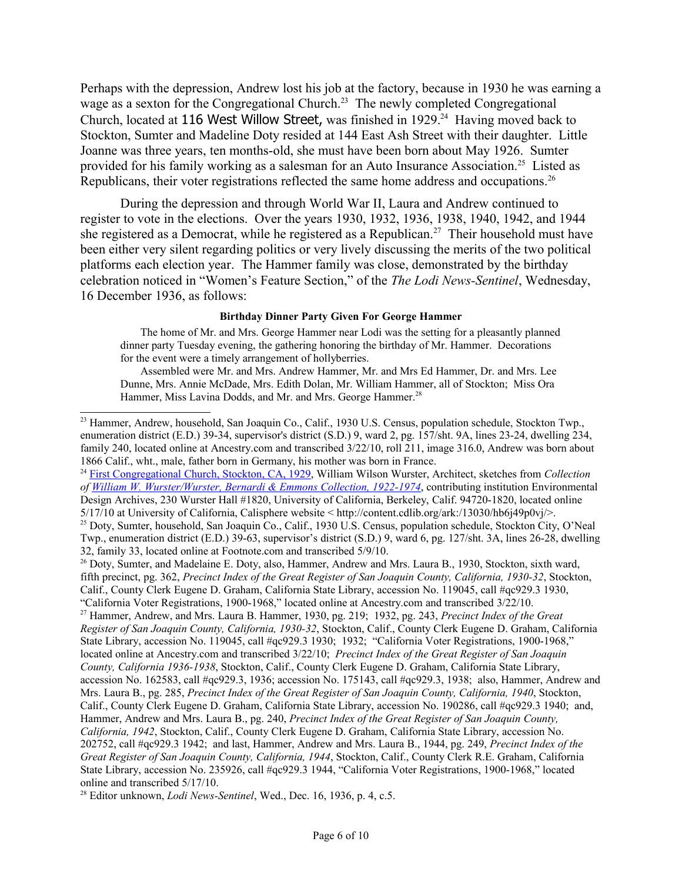Perhaps with the depression, Andrew lost his job at the factory, because in 1930 he was earning a wage as a sexton for the Congregational Church.<sup>[23](#page-5-0)</sup> The newly completed Congregational Church, located at 116 West Willow Street, was finished in  $1929<sup>24</sup>$  $1929<sup>24</sup>$  $1929<sup>24</sup>$  Having moved back to Stockton, Sumter and Madeline Doty resided at 144 East Ash Street with their daughter. Little Joanne was three years, ten months-old, she must have been born about May 1926. Sumter provided for his family working as a salesman for an Auto Insurance Association.<sup>[25](#page-5-2)</sup> Listed as Republicans, their voter registrations reflected the same home address and occupations.<sup>[26](#page-5-3)</sup>

During the depression and through World War II, Laura and Andrew continued to register to vote in the elections. Over the years 1930, 1932, 1936, 1938, 1940, 1942, and 1944 she registered as a Democrat, while he registered as a Republican.<sup>[27](#page-5-4)</sup> Their household must have been either very silent regarding politics or very lively discussing the merits of the two political platforms each election year. The Hammer family was close, demonstrated by the birthday celebration noticed in "Women's Feature Section," of the *The Lodi News-Sentinel*, Wednesday, 16 December 1936, as follows:

#### **Birthday Dinner Party Given For George Hammer**

The home of Mr. and Mrs. George Hammer near Lodi was the setting for a pleasantly planned dinner party Tuesday evening, the gathering honoring the birthday of Mr. Hammer. Decorations for the event were a timely arrangement of hollyberries.

Assembled were Mr. and Mrs. Andrew Hammer, Mr. and Mrs Ed Hammer, Dr. and Mrs. Lee Dunne, Mrs. Annie McDade, Mrs. Edith Dolan, Mr. William Hammer, all of Stockton; Miss Ora Hammer, Miss Lavina Dodds, and Mr. and Mrs. George Hammer.<sup>[28](#page-5-5)</sup>

<span id="page-5-1"></span><sup>24</sup> [First Congregational Church, Stockton, CA, 1929,](file:///ark://13030/hb6j49p0vj?&brand=calisphere) William Wilson Wurster, Architect, sketches from *Collection of [William W. Wurster/Wurster, Bernardi & Emmons Collection, 1922-1974](http://www.oac.cdlib.org/findaid/ark:/13030/tf8k40079x?&brand=calisphere)*, contributing institution Environmental Design Archives, 230 Wurster Hall #1820, University of California, Berkeley, Calif. 94720-1820, located online 5/17/10 at University of California, Calisphere website < http://content.cdlib.org/ark:/13030/hb6j49p0vj/>. <sup>25</sup> Doty, Sumter, household, San Joaquin Co., Calif., 1930 U.S. Census, population schedule, Stockton City, O'Neal

<span id="page-5-2"></span>Twp., enumeration district (E.D.) 39-63, supervisor's district (S.D.) 9, ward 6, pg. 127/sht. 3A, lines 26-28, dwelling 32, family 33, located online at Footnote.com and transcribed 5/9/10.

<span id="page-5-3"></span><sup>26</sup> Doty, Sumter, and Madelaine E. Doty, also, Hammer, Andrew and Mrs. Laura B., 1930, Stockton, sixth ward, fifth precinct, pg. 362, *Precinct Index of the Great Register of San Joaquin County, California, 1930-32*, Stockton, Calif., County Clerk Eugene D. Graham, California State Library, accession No. 119045, call #qc929.3 1930, "California Voter Registrations, 1900-1968," located online at Ancestry.com and transcribed 3/22/10.

<span id="page-5-4"></span><sup>27</sup> Hammer, Andrew, and Mrs. Laura B. Hammer, 1930, pg. 219; 1932, pg. 243, *Precinct Index of the Great Register of San Joaquin County, California, 1930-32*, Stockton, Calif., County Clerk Eugene D. Graham, California State Library, accession No. 119045, call #qc929.3 1930; 1932; "California Voter Registrations, 1900-1968," located online at Ancestry.com and transcribed 3/22/10; *Precinct Index of the Great Register of San Joaquin County, California 1936-1938*, Stockton, Calif., County Clerk Eugene D. Graham, California State Library, accession No. 162583, call #qc929.3, 1936; accession No. 175143, call #qc929.3, 1938; also, Hammer, Andrew and Mrs. Laura B., pg. 285, *Precinct Index of the Great Register of San Joaquin County, California, 1940*, Stockton, Calif., County Clerk Eugene D. Graham, California State Library, accession No. 190286, call #qc929.3 1940; and, Hammer, Andrew and Mrs. Laura B., pg. 240, *Precinct Index of the Great Register of San Joaquin County, California, 1942*, Stockton, Calif., County Clerk Eugene D. Graham, California State Library, accession No. 202752, call #qc929.3 1942; and last, Hammer, Andrew and Mrs. Laura B., 1944, pg. 249, *Precinct Index of the Great Register of San Joaquin County, California, 1944*, Stockton, Calif., County Clerk R.E. Graham, California State Library, accession No. 235926, call #qc929.3 1944, "California Voter Registrations, 1900-1968," located online and transcribed 5/17/10.

<span id="page-5-5"></span><sup>28</sup> Editor unknown, *Lodi News-Sentinel*, Wed., Dec. 16, 1936, p. 4, c.5.

<span id="page-5-0"></span><sup>&</sup>lt;sup>23</sup> Hammer, Andrew, household, San Joaquin Co., Calif., 1930 U.S. Census, population schedule, Stockton Twp., enumeration district (E.D.) 39-34, supervisor's district (S.D.) 9, ward 2, pg. 157/sht. 9A, lines 23-24, dwelling 234, family 240, located online at Ancestry.com and transcribed 3/22/10, roll 211, image 316.0, Andrew was born about 1866 Calif., wht., male, father born in Germany, his mother was born in France.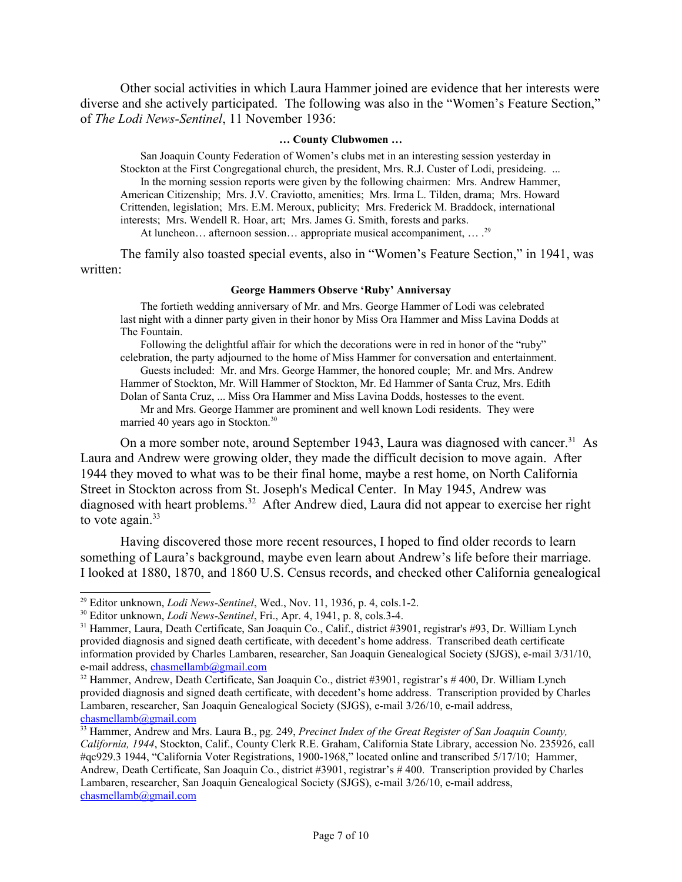Other social activities in which Laura Hammer joined are evidence that her interests were diverse and she actively participated. The following was also in the "Women's Feature Section," of *The Lodi News-Sentinel*, 11 November 1936:

### **… County Clubwomen …**

San Joaquin County Federation of Women's clubs met in an interesting session yesterday in Stockton at the First Congregational church, the president, Mrs. R.J. Custer of Lodi, presideing. ... In the morning session reports were given by the following chairmen: Mrs. Andrew Hammer, American Citizenship; Mrs. J.V. Craviotto, amenities; Mrs. Irma L. Tilden, drama; Mrs. Howard Crittenden, legislation; Mrs. E.M. Meroux, publicity; Mrs. Frederick M. Braddock, international interests; Mrs. Wendell R. Hoar, art; Mrs. James G. Smith, forests and parks. At luncheon... afternoon session... appropriate musical accompaniment, ... .<sup>[29](#page-6-0)</sup>

The family also toasted special events, also in "Women's Feature Section," in 1941, was written:

#### **George Hammers Observe 'Ruby' Anniversay**

The fortieth wedding anniversary of Mr. and Mrs. George Hammer of Lodi was celebrated last night with a dinner party given in their honor by Miss Ora Hammer and Miss Lavina Dodds at The Fountain.

Following the delightful affair for which the decorations were in red in honor of the "ruby" celebration, the party adjourned to the home of Miss Hammer for conversation and entertainment.

Guests included: Mr. and Mrs. George Hammer, the honored couple; Mr. and Mrs. Andrew Hammer of Stockton, Mr. Will Hammer of Stockton, Mr. Ed Hammer of Santa Cruz, Mrs. Edith Dolan of Santa Cruz, ... Miss Ora Hammer and Miss Lavina Dodds, hostesses to the event.

Mr and Mrs. George Hammer are prominent and well known Lodi residents. They were married 40 years ago in Stockton.<sup>[30](#page-6-1)</sup>

On a more somber note, around September 1943, Laura was diagnosed with cancer.<sup>[31](#page-6-2)</sup> As Laura and Andrew were growing older, they made the difficult decision to move again. After 1944 they moved to what was to be their final home, maybe a rest home, on North California Street in Stockton across from St. Joseph's Medical Center. In May 1945, Andrew was diagnosed with heart problems.<sup>[32](#page-6-3)</sup> After Andrew died, Laura did not appear to exercise her right to vote again. $33$ 

Having discovered those more recent resources, I hoped to find older records to learn something of Laura's background, maybe even learn about Andrew's life before their marriage. I looked at 1880, 1870, and 1860 U.S. Census records, and checked other California genealogical

<span id="page-6-0"></span><sup>29</sup> Editor unknown, *Lodi News-Sentinel*, Wed., Nov. 11, 1936, p. 4, cols.1-2.

<span id="page-6-1"></span><sup>30</sup> Editor unknown, *Lodi News-Sentinel*, Fri., Apr. 4, 1941, p. 8, cols.3-4.

<span id="page-6-2"></span><sup>&</sup>lt;sup>31</sup> Hammer, Laura, Death Certificate, San Joaquin Co., Calif., district #3901, registrar's #93, Dr. William Lynch provided diagnosis and signed death certificate, with decedent's home address. Transcribed death certificate information provided by Charles Lambaren, researcher, San Joaquin Genealogical Society (SJGS), e-mail 3/31/10, e-mail address, [chasmellamb@gmail.com](mailto:melrlamb@juno.com)

<span id="page-6-3"></span><sup>&</sup>lt;sup>32</sup> Hammer, Andrew, Death Certificate, San Joaquin Co., district #3901, registrar's #400, Dr. William Lynch provided diagnosis and signed death certificate, with decedent's home address. Transcription provided by Charles Lambaren, researcher, San Joaquin Genealogical Society (SJGS), e-mail 3/26/10, e-mail address, [chasmellamb@gmail.com](mailto:melrlamb@juno.com)

<span id="page-6-4"></span><sup>33</sup> Hammer, Andrew and Mrs. Laura B., pg. 249, *Precinct Index of the Great Register of San Joaquin County, California, 1944*, Stockton, Calif., County Clerk R.E. Graham, California State Library, accession No. 235926, call #qc929.3 1944, "California Voter Registrations, 1900-1968," located online and transcribed 5/17/10; Hammer, Andrew, Death Certificate, San Joaquin Co., district #3901, registrar's # 400. Transcription provided by Charles Lambaren, researcher, San Joaquin Genealogical Society (SJGS), e-mail 3/26/10, e-mail address, [chasmellamb@gmail.com](mailto:melrlamb@juno.com)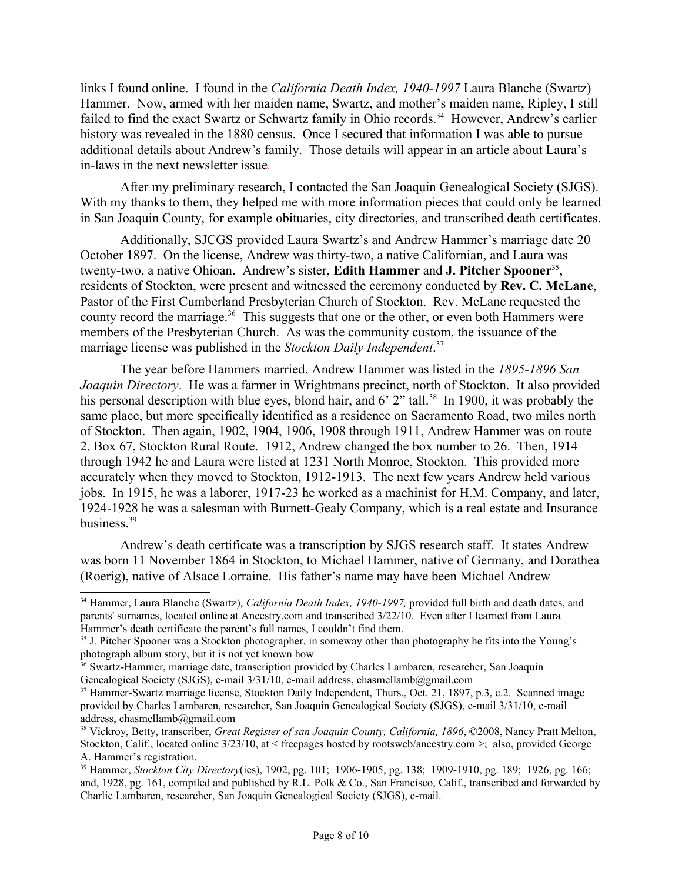links I found online. I found in the *California Death Index, 1940-1997* Laura Blanche (Swartz) Hammer. Now, armed with her maiden name, Swartz, and mother's maiden name, Ripley, I still failed to find the exact Swartz or Schwartz family in Ohio records.<sup>[34](#page-7-0)</sup> However, Andrew's earlier history was revealed in the 1880 census. Once I secured that information I was able to pursue additional details about Andrew's family. Those details will appear in an article about Laura's in-laws in the next newsletter issue*.*

After my preliminary research, I contacted the San Joaquin Genealogical Society (SJGS). With my thanks to them, they helped me with more information pieces that could only be learned in San Joaquin County, for example obituaries, city directories, and transcribed death certificates.

Additionally, SJCGS provided Laura Swartz's and Andrew Hammer's marriage date 20 October 1897. On the license, Andrew was thirty-two, a native Californian, and Laura was twenty-two, a native Ohioan. Andrew's sister, **Edith Hammer** and **J. Pitcher Spooner**<sup>[35](#page-7-1)</sup>, residents of Stockton, were present and witnessed the ceremony conducted by **Rev. C. McLane**, Pastor of the First Cumberland Presbyterian Church of Stockton. Rev. McLane requested the county record the marriage.<sup>[36](#page-7-2)</sup> This suggests that one or the other, or even both Hammers were members of the Presbyterian Church. As was the community custom, the issuance of the marriage license was published in the *Stockton Daily Independent*. [37](#page-7-3)

The year before Hammers married, Andrew Hammer was listed in the *1895-1896 San Joaquin Directory*. He was a farmer in Wrightmans precinct, north of Stockton. It also provided his personal description with blue eyes, blond hair, and 6' 2" tall.<sup>[38](#page-7-4)</sup> In 1900, it was probably the same place, but more specifically identified as a residence on Sacramento Road, two miles north of Stockton. Then again, 1902, 1904, 1906, 1908 through 1911, Andrew Hammer was on route 2, Box 67, Stockton Rural Route. 1912, Andrew changed the box number to 26. Then, 1914 through 1942 he and Laura were listed at 1231 North Monroe, Stockton. This provided more accurately when they moved to Stockton, 1912-1913. The next few years Andrew held various jobs. In 1915, he was a laborer, 1917-23 he worked as a machinist for H.M. Company, and later, 1924-1928 he was a salesman with Burnett-Gealy Company, which is a real estate and Insurance business.[39](#page-7-5)

Andrew's death certificate was a transcription by SJGS research staff. It states Andrew was born 11 November 1864 in Stockton, to Michael Hammer, native of Germany, and Dorathea (Roerig), native of Alsace Lorraine. His father's name may have been Michael Andrew

<span id="page-7-0"></span><sup>34</sup> Hammer, Laura Blanche (Swartz), *California Death Index, 1940-1997,* provided full birth and death dates, and parents' surnames, located online at Ancestry.com and transcribed 3/22/10. Even after I learned from Laura Hammer's death certificate the parent's full names, I couldn't find them.

<span id="page-7-1"></span><sup>&</sup>lt;sup>35</sup> J. Pitcher Spooner was a Stockton photographer, in someway other than photography he fits into the Young's photograph album story, but it is not yet known how

<span id="page-7-2"></span><sup>&</sup>lt;sup>36</sup> Swartz-Hammer, marriage date, transcription provided by Charles Lambaren, researcher, San Joaquin Genealogical Society (SJGS), e-mail 3/31/10, e-mail address, chasmellamb@gmail.com

<span id="page-7-3"></span><sup>&</sup>lt;sup>37</sup> Hammer-Swartz marriage license, Stockton Daily Independent, Thurs., Oct. 21, 1897, p.3, c.2. Scanned image provided by Charles Lambaren, researcher, San Joaquin Genealogical Society (SJGS), e-mail 3/31/10, e-mail address, chasmellamb@gmail.com

<span id="page-7-4"></span><sup>38</sup> Vickroy, Betty, transcriber, *Great Register of san Joaquin County, California, 1896*, ©2008, Nancy Pratt Melton, Stockton, Calif., located online 3/23/10, at < freepages hosted by rootsweb/ancestry.com >; also, provided George A. Hammer's registration.

<span id="page-7-5"></span><sup>39</sup> Hammer, *Stockton City Directory*(ies), 1902, pg. 101; 1906-1905, pg. 138; 1909-1910, pg. 189; 1926, pg. 166; and, 1928, pg. 161, compiled and published by R.L. Polk & Co., San Francisco, Calif., transcribed and forwarded by Charlie Lambaren, researcher, San Joaquin Genealogical Society (SJGS), e-mail.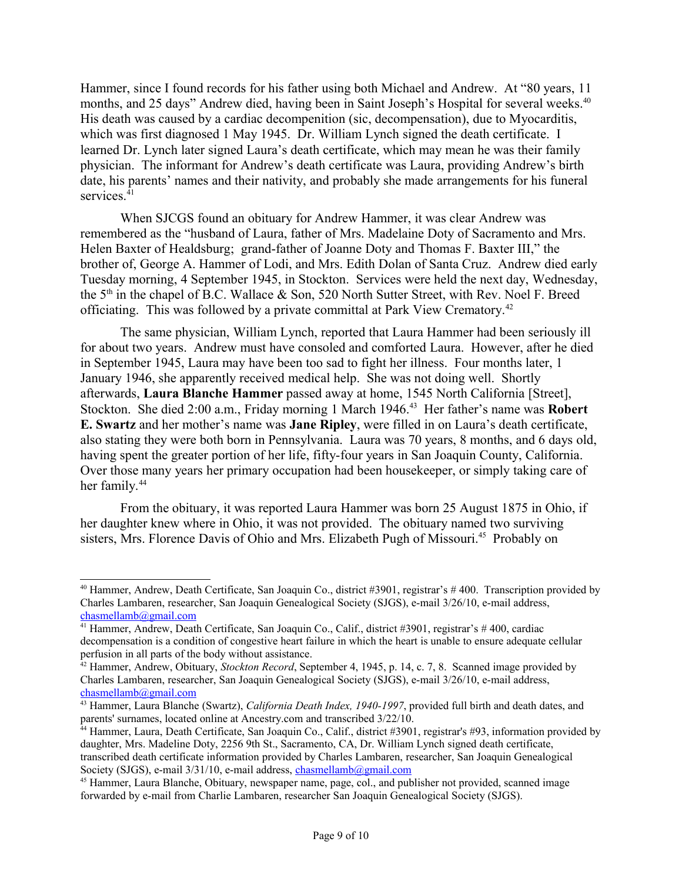Hammer, since I found records for his father using both Michael and Andrew. At "80 years, 11 months, and 25 days" Andrew died, having been in Saint Joseph's Hospital for several weeks.<sup>[40](#page-8-0)</sup> His death was caused by a cardiac decompenition (sic, decompensation), due to Myocarditis, which was first diagnosed 1 May 1945. Dr. William Lynch signed the death certificate. I learned Dr. Lynch later signed Laura's death certificate, which may mean he was their family physician. The informant for Andrew's death certificate was Laura, providing Andrew's birth date, his parents' names and their nativity, and probably she made arrangements for his funeral services.<sup>[41](#page-8-1)</sup>

When SJCGS found an obituary for Andrew Hammer, it was clear Andrew was remembered as the "husband of Laura, father of Mrs. Madelaine Doty of Sacramento and Mrs. Helen Baxter of Healdsburg; grand-father of Joanne Doty and Thomas F. Baxter III," the brother of, George A. Hammer of Lodi, and Mrs. Edith Dolan of Santa Cruz. Andrew died early Tuesday morning, 4 September 1945, in Stockton. Services were held the next day, Wednesday, the  $5<sup>th</sup>$  in the chapel of B.C. Wallace  $\&$  Son, 520 North Sutter Street, with Rev. Noel F. Breed officiating. This was followed by a private committal at Park View Crematory.<sup>[42](#page-8-2)</sup>

The same physician, William Lynch, reported that Laura Hammer had been seriously ill for about two years. Andrew must have consoled and comforted Laura. However, after he died in September 1945, Laura may have been too sad to fight her illness. Four months later, 1 January 1946, she apparently received medical help. She was not doing well. Shortly afterwards, **Laura Blanche Hammer** passed away at home, 1545 North California [Street], Stockton. She died 2:00 a.m., Friday morning 1 March 1946.[43](#page-8-3) Her father's name was **Robert E. Swartz** and her mother's name was **Jane Ripley**, were filled in on Laura's death certificate, also stating they were both born in Pennsylvania. Laura was 70 years, 8 months, and 6 days old, having spent the greater portion of her life, fifty-four years in San Joaquin County, California. Over those many years her primary occupation had been housekeeper, or simply taking care of her family.<sup>[44](#page-8-4)</sup>

From the obituary, it was reported Laura Hammer was born 25 August 1875 in Ohio, if her daughter knew where in Ohio, it was not provided. The obituary named two surviving sisters, Mrs. Florence Davis of Ohio and Mrs. Elizabeth Pugh of Missouri.<sup>[45](#page-8-5)</sup> Probably on

<span id="page-8-0"></span><sup>40</sup> Hammer, Andrew, Death Certificate, San Joaquin Co., district #3901, registrar's # 400. Transcription provided by Charles Lambaren, researcher, San Joaquin Genealogical Society (SJGS), e-mail 3/26/10, e-mail address, [chasmellamb@gmail.com](mailto:melrlamb@juno.com)

<span id="page-8-1"></span><sup>41</sup> Hammer, Andrew, Death Certificate, San Joaquin Co., Calif., district #3901, registrar's # 400, cardiac decompensation is a condition of congestive heart failure in which the heart is unable to ensure adequate cellular perfusion in all parts of the body without assistance.

<span id="page-8-2"></span><sup>42</sup> Hammer, Andrew, Obituary, *Stockton Record*, September 4, 1945, p. 14, c. 7, 8. Scanned image provided by Charles Lambaren, researcher, San Joaquin Genealogical Society (SJGS), e-mail 3/26/10, e-mail address, [chasmellamb@gmail.com](mailto:melrlamb@juno.com)

<span id="page-8-3"></span><sup>&</sup>lt;sup>43</sup> Hammer, Laura Blanche (Swartz), *California Death Index, 1940-1997*, provided full birth and death dates, and parents' surnames, located online at Ancestry.com and transcribed 3/22/10.

<span id="page-8-4"></span><sup>&</sup>lt;sup>44</sup> Hammer, Laura, Death Certificate, San Joaquin Co., Calif., district #3901, registrar's #93, information provided by daughter, Mrs. Madeline Doty, 2256 9th St., Sacramento, CA, Dr. William Lynch signed death certificate, transcribed death certificate information provided by Charles Lambaren, researcher, San Joaquin Genealogical Society (SJGS), e-mail 3/31/10, e-mail address, [chasmellamb@gmail.com](mailto:melrlamb@juno.com)

<span id="page-8-5"></span><sup>&</sup>lt;sup>45</sup> Hammer, Laura Blanche, Obituary, newspaper name, page, col., and publisher not provided, scanned image forwarded by e-mail from Charlie Lambaren, researcher San Joaquin Genealogical Society (SJGS).